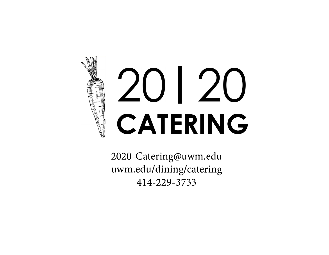# **CATERING |**

2020-Catering@uwm.edu uwm.edu/dining/catering 414-229-3733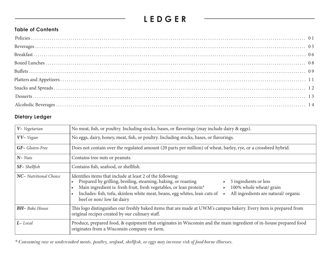# **LEDGER**

# **Table of Contents**

# **Dietary Ledger**

| V- Vegetarian          | No meat, fish, or poultry. Including stocks, bases, or flavorings (may include dairy & eggs).                                                                                                                                                                                                                                                                                                            |
|------------------------|----------------------------------------------------------------------------------------------------------------------------------------------------------------------------------------------------------------------------------------------------------------------------------------------------------------------------------------------------------------------------------------------------------|
| VV- Vegan              | No eggs, dairy, honey, meat, fish, or poultry. Including stocks, bases, or flavorings.                                                                                                                                                                                                                                                                                                                   |
| <b>GF-</b> Gluten-Free | Does not contain over the regulated amount (20 parts per million) of wheat, barley, rye, or a crossbred hybrid.                                                                                                                                                                                                                                                                                          |
| $N- Nuts$              | Contains tree nuts or peanuts.                                                                                                                                                                                                                                                                                                                                                                           |
| SF-Shellfish           | Contains fish, seafood, or shellfish.                                                                                                                                                                                                                                                                                                                                                                    |
| NC- Nutritional Choice | Identifies items that include at least 2 of the following:<br>Prepared by grilling, broiling, steaming, baking, or roasting<br>5 ingredients or less<br>Main ingredient is: fresh fruit, fresh vegetables, or lean protein*<br>100% whole wheat/ grain<br>Includes: fish, tofu, skinless white meat, beans, egg whites, lean cuts of<br>All ingredients are natural/organic<br>beef or non/low fat dairy |
| <b>BH-</b> Bake House  | This logo distinguishes our freshly baked items that are made at UWM's campus bakery. Every item is prepared from<br>original recipes created by our culinary staff.                                                                                                                                                                                                                                     |
| $L$ -Local             | Produce, prepared food, & equipment that originates in Wisconsin and the main ingredient of in-house prepared food<br>originates from a Wisconsin company or farm.                                                                                                                                                                                                                                       |

*\* Consuming raw or undercooked meats, poultry, seafood, shellfish, or eggs may increase risk of food-borne illnesses.*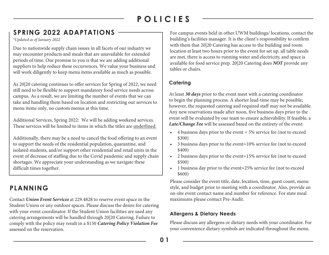# **SPRING 2022 ADAPTATIONS**

*\*Updated as of January 2022*

Due to nationwide supply chain issues in all facets of our industry we may encounter products and meals that are unavailable for extended periods of time. Our promise to you is that we are adding additional suppliers to help reduce these occurrences. We value your business and will work diligently to keep menu items available as much as possible.

As 20|20 catering continues to offer services for Spring of 2022, we need still need to be flexible to support mandatory food service needs across campus. As a result, we are limiting the number of events that we can take and handling them based on location and restricting our services to menu items only, no custom menus at this time.

Additional Services, Spring 2022: We will be adding weekend services. These services will be limited to items in which the titles are underlined.

Additionally, there may be a need to cancel the food offering to an event to support the needs of the residential population, quarantine, and isolated students, and/or support other residential and retail units in the event of decrease of staffing due to the Covid pandemic and supply chain shortages. We appreciate your understanding as we navigate these difficult times together.

# **PLANNING**

Contact *Union Event Services* at 229.4828 to reserve event space in the Student Union or any outdoor spaces. Please discuss the desire for catering with your event coordinator. If the Student Union facilities are used any catering arrangements will be handled through 20|20 Catering. Failure to comply with the policy may result in a \$150 *Catering Policy Violation Fee* assessed on the reservation.

For campus events held in other UWM buildings/ locations, contact the building's facilities manager. It is the client's responsibility to confirm with them that 20|20 Catering has access to the building and room location at least two hours prior to the event for set up, all table needs are met, there is access to running water and electricity, and space is available for food service prep. 20|20 Catering does *NOT* provide any tables or chairs.

# **Catering**

At least *30 days* prior to the event meet with a catering coordinator to begin the planning process. A shorter lead-time may be possible; however, the requested catering and required staff may not be available. Any new reservations made after noon, five business days prior to the event will be evaluated by our team to ensure achievability. If feasible, a *Late/Change Fee* will be assessed based on the entirety of the event:

- $\bullet$  4 business days prior to the event = 5% service fee (not to exceed \$300)
- 3 business days prior to the event=10% service fee (not to exceed \$400)
- 2 business days prior to the event=15% service fee (not to exceed \$500)
- 1 business day prior to the event=25% service fee (not to exceed \$600)

Please consider the event title, date, location, time, guest count, menu style, and budget prior to meeting with a coordinator. Also, provide an on-site event contact name and number for reference. For state meal maximums please contact Pre-Audit.

# **Allergens & Dietary Needs**

Please discuss any allergens or dietary needs with your coordinator. For your convenience dietary symbols are indicated throughout the menu.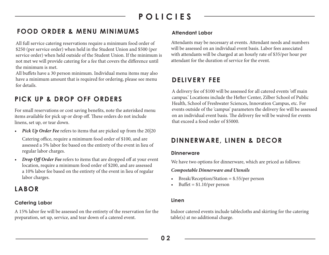# **FOOD ORDER & MENU MINIMUMS**

All full service catering reservations require a minimum food order of \$250 (per service order) when held in the Student Union and \$500 (per service order) when held outside of the Student Union. If the minimum is not met we will provide catering for a fee that covers the difference until the minimum is met.

All buffets have a 30 person minimum. Individual menu items may also have a minimum amount that is required for ordering, please see menu for details.

# **PICK UP & DROP OFF ORDERS**

For small reservations or cost saving benefits, note the asterisked menu items available for pick up or drop off. These orders do not include linens, set up, or tear down.

*• Pick Up Order Fee* refers to items that are picked up from the 20|20

Catering office, require a minimum food order of \$100, and are assessed a 5% labor fee based on the entirety of the event in lieu of regular labor charges.

*Drop Off Order Fee refers to items that are dropped off at your event* location, require a minimum food order of \$200, and are assessed a 10% labor fee based on the entirety of the event in lieu of regular labor charges.

# **LABOR**

# **Catering Labor**

A 15% labor fee will be assessed on the entirety of the reservation for the preparation, set up, service, and tear down of a catered event.

# **Attendant Labor**

Attendants may be necessary at events. Attendant needs and numbers will be assessed on an individual event basis. Labor fees associated with attendants will be charged at an hourly rate of \$35/per hour per attendant for the duration of service for the event.

# **DELIVERY FEE**

A delivery fee of \$100 will be assessed for all catered events 'off main campus.' Locations include the Hefter Center, Zilber School of Public Health, School of Freshwater Sciences, Innovation Campus, etc. For events outside of the 'campus' parameters the delivery fee will be assessed on an individual event basis. The delivery fee will be waived for events that exceed a food order of \$5000.

# **DINNERWARE, LINEN & DECOR**

### **Dinnerware**

We have two options for dinnerware, which are priced as follows:

### *Compostable Dinnerware and Utensils*

- Break/Reception/Station = \$.55/per person
- Buffet =  $$1.10/per$  person

# **Linen**

Indoor catered events include tablecloths and skirting for the catering table(s) at no additional charge.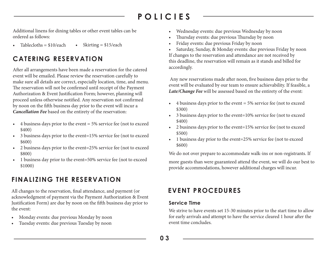Additional linens for dining tables or other event tables can be ordered as follows:

Tablecloths =  $$10/each$  • Skirting =  $$15/each$ 

# **CATERING RESERVATION**

After all arrangements have been made a reservation for the catered event will be emailed. Please review the reservation carefully to make sure all details are correct, especially location, time, and menu. The reservation will not be confirmed until receipt of the Payment Authorization & Event Justification Form; however, planning will proceed unless otherwise notified. Any reservation not confirmed by noon on the fifth business day prior to the event will incur a *Cancellation Fee* based on the entirety of the reservation:

- $\bullet$  4 business days prior to the event = 5% service fee (not to exceed \$400)
- 3 business days prior to the event=15% service fee (not to exceed \$600)
- 2 business days prior to the event=25% service fee (not to exceed \$800)
- 1 business day prior to the event=50% service fee (not to exceed \$1000)

# **FINALIZING THE RESERVATION**

All changes to the reservation, final attendance, and payment (or acknowledgment of payment via the Payment Authorization & Event Justification Form) are due by noon on the fifth business day prior to the event:

- Monday events: due previous Monday by noon
- Tuesday events: due previous Tuesday by noon
- Wednesday events: due previous Wednesday by noon
- Thursday events: due previous Thursday by noon
- Friday events: due previous Friday by noon

• Saturday, Sunday, & Monday events: due previous Friday by noon If changes to the reservation and attendance are not received by this deadline, the reservation will remain as it stands and billed for accordingly.

 Any new reservations made after noon, five business days prior to the event will be evaluated by our team to ensure achievability. If feasible, a *Late/Change Fee* will be assessed based on the entirety of the event:

- $\bullet$  4 business days prior to the event = 5% service fee (not to exceed \$300)
- 3 business days prior to the event=10% service fee (not to exceed \$400)
- 2 business days prior to the event=15% service fee (not to exceed \$500)
- 1 business day prior to the event=25% service fee (not to exceed \$600)

We do not over prepare to accommodate walk-ins or non-registrants. If more guests than were guaranteed attend the event, we will do our best to provide accommodations, however additional charges will incur.

# **EVENT PROCEDURES**

# **Service Time**

We strive to have events set 15-30 minutes prior to the start time to allow for early arrivals and attempt to have the service cleared 1 hour after the event time concludes.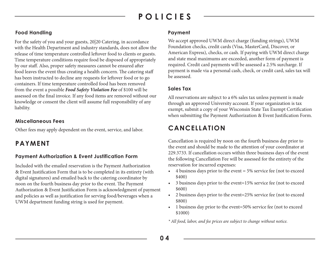# **Food Handling**

For the safety of you and your guests, 20|20 Catering, in accordance with the Health Department and industry standards, does not allow the release of time temperature controlled leftover food to clients or guests. Time temperature conditions require food be disposed of appropriately by our staff. Also, proper safety measures cannot be ensured after food leaves the event thus creating a health concern. The catering staff has been instructed to decline any requests for leftover food or to go containers. If time temperature controlled food has been removed from the event a possible *Food Safety Violation Fee* of \$100 will be assessed on the final invoice. If any food items are removed without our knowledge or consent the client will assume full responsibility of any liability.

# **Miscellaneous Fees**

Other fees may apply dependent on the event, service, and labor.

# **PAYMENT**

# **Payment Authorization & Event Justification Form**

Included with the emailed reservation is the Payment Authorization & Event Justification Form that is to be completed in its entirety (with digital signatures) and emailed back to the catering coordinator by noon on the fourth business day prior to the event. The Payment Authorization & Event Justification Form is acknowledgment of payment and policies as well as justification for serving food/beverages when a UWM department funding string is used for payment.

### **Payment**

We accept approved UWM direct charge (funding strings), UWM Foundation checks, credit cards (Visa, MasterCard, Discover, or American Express), checks, or cash. If paying with UWM direct charge and state meal maximums are exceeded, another form of payment is required. Credit card payments will be assessed a 2.5% surcharge. If payment is made via a personal cash, check, or credit card, sales tax will be assessed.

# **Sales Tax**

All reservations are subject to a 6% sales tax unless payment is made through an approved University account. If your organization is tax exempt, submit a copy of your Wisconsin State Tax Exempt Certification when submitting the Payment Authorization & Event Justification Form.

# **CANCELLATION**

Cancellation is required by noon on the fourth business day prior to the event and should be made to the attention of your coordinator at 229.3733. If cancellation occurs within three business days of the event the following Cancellation Fee will be assessed for the entirety of the reservation for incurred expenses:

- $\bullet$  4 business days prior to the event = 5% service fee (not to exceed \$400)
- 3 business days prior to the event=15% service fee (not to exceed \$600)
- 2 business days prior to the event=25% service fee (not to exceed \$800)
- 1 business day prior to the event=50% service fee (not to exceed \$1000)

*\* All food, labor, and fee prices are subject to change without notice.*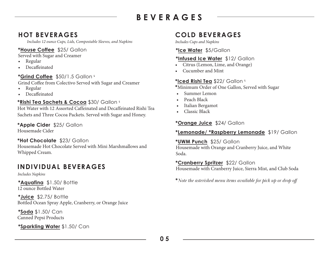# **BEVERAGES**

# **HOT BEVERAGES**

*Includes 12 ounce Cups, Lids, Compostable Sleeves, and Napkins*

# **\*House Coffee** \$25/ Gallon

Served with Sugar and Creamer

- Regular
- Decaffeinated

# **\*Grind Coffee** \$50/1.5 Gallon **<sup>L</sup>**

Grind Coffee from Colectivo Served with Sugar and Creamer

- Regular
- Decaffeinated

# **\*Rishi Tea Sachets & Cocoa** \$30/ Gallon **<sup>L</sup>**

Hot Water with 12 Assorted Caffeinated and Decaffeinated Rishi Tea Sachets and Three Cocoa Packets. Served with Sugar and Honey.

# **\*Apple Cider** \$25/ Gallon

Housemade Cider

# **\*Hot Chocolate** \$23/ Gallon

Housemade Hot Chocolate Served with Mini Marshmallows and Whipped Cream.

# **INDIVIDUAL BEVERAGES**

*Includes Napkins*

**\*Aquafina** \$1.50/ Bottle 12 ounce Bottled Water

**\*Juice** \$2.75/ Bottle Bottled Ocean Spray Apple, Cranberry, or Orange Juice

**\*Soda** \$1.50/ Can Canned Pepsi Products

**\*Sparkling Water** \$1.50/ Can

# **COLD BEVERAGES**

*Includes Cups and Napkins*

# **\*Ice Water** \$5/Gallon

# **\*Infused Ice Water** \$12/ Gallon

- Citrus (Lemon, Lime, and Orange)
- Cucumber and Mint

# **\*Iced Rishi Tea** \$22/ Gallon **<sup>L</sup>**

**\***Minimum Order of One Gallon, Served with Sugar

- Summer Lemon
- Peach Black
- Italian Bergamot
- Classic Black

# **\*Orange Juice** \$24/ Gallon

# **\*Lemonade/ \*Raspberry Lemonade** \$19/ Gallon

# **\*UWM Punch** \$25/ Gallon

Housemade with Orange and Cranberry Juice, and White Soda.

# **\*Cranberry Spritzer** \$22/ Gallon

Housemade with Cranberry Juice, Sierra Mist, and Club Soda

**\****Note the asterisked menu items available for pick up or drop off*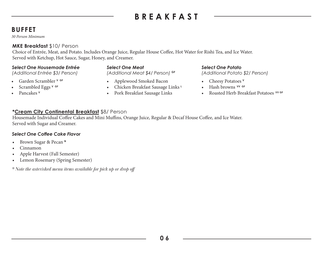# **BREAKFAST**

# **BUFFET**

*30 Person Minimum* 

# **MKE Breakfast** \$10/ Person

Choice of Entrée, Meat, and Potato. Includes Orange Juice, Regular House Coffee, Hot Water for Rishi Tea, and Ice Water. Served with Ketchup, Hot Sauce, Sugar, Honey, and Creamer.

### *Select One Housemade Entrée*

*(Additional Entrée \$3/ Person)*

- Garden Scrambler **V GF**
- Scrambled Eggs v GF
- Pancakes **<sup>V</sup>**

### *Select One Meat*

*(Additional Meat \$4/ Person)* **GF**

- Applewood Smoked Bacon
- Chicken Breakfast Sausage Links **<sup>L</sup>**
- Pork Breakfast Sausage Links

### *Select One Potato*

*(Additional Potato \$2/ Person)*

- Cheesy Potatoes **<sup>V</sup>**
- Hash browns **VV GF**
- Roasted Herb Breakfast Potatoes **VV GF**

### **\*Cream City Continental Breakfast** \$8/ Person

Housemade Individual Coffee Cakes and Mini Muffins, Orange Juice, Regular & Decaf House Coffee, and Ice Water. Served with Sugar and Creamer.

### *Select One Coffee Cake Flavor*

- Brown Sugar & Pecan **<sup>N</sup>**
- Cinnamon
- Apple Harvest (Fall Semester)
- Lemon Rosemary (Spring Semester)

*\* Note the asterisked menu items available for pick up or drop off*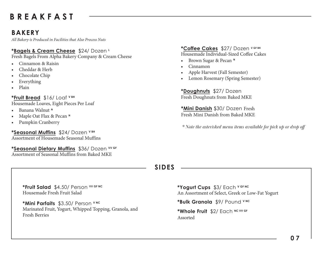# **BREAKFAST**

# **BAKERY**

*All Bakery is Produced in Facilities that Also Process Nuts*

### **\*Bagels & Cream Cheese** \$24/ Dozen **<sup>L</sup>**

Fresh Bagels From Alpha Bakery Company & Cream Cheese

- Cinnamon & Raisin
- Cheddar & Herb
- Chocolate Chip
- **Everything**
- Plain

### **\*Fruit Bread** \$16/ Loaf **V BH**

Housemade Loaves, Eight Pieces Per Loaf

- Banana Walnut **<sup>N</sup>**
- Maple Oat Flax & Pecan **<sup>N</sup>**
- Pumpkin Cranberry

**\*Seasonal Muffins** \$24/ Dozen **V BH**

Assortment of Housemade Seasonal Muffins

**\*Seasonal Dietary Muffins** \$36/ Dozen **VV GF** Assortment of Seasonal Muffins from Baked MKE

**\*Coffee Cakes** \$27/ Dozen **V GF BH** Housemade Individual-Sized Coffee Cakes

- Brown Sugar & Pecan **<sup>N</sup>**
- Cinnamon
- Apple Harvest (Fall Semester)
- Lemon Rosemary (Spring Semester)

**\*Doughnuts** \$27/ Dozen Fresh Doughnuts from Baked MKE

**\*Mini Danish** \$30/ Dozen Fresh Fresh Mini Danish from Baked MKE

*\* Note the asterisked menu items available for pick up or drop off*

# **SIDES**

**\*Fruit Salad** \$4.50/ Person **VV GF NC** Housemade Fresh Fruit Salad

**\*Mini Parfaits** \$3.50/ Person **V NC** Marinated Fruit, Yogurt, Whipped Topping, Granola, and Fresh Berries

**\*Yogurt Cups** \$3/ Each **V GF NC** An Assortment of Select, Greek or Low-Fat Yogurt

**\*Bulk Granola** \$9/ Pound **<sup>V</sup> NC**

**\*Whole Fruit** \$2/ Each **NC VV GF** Assorted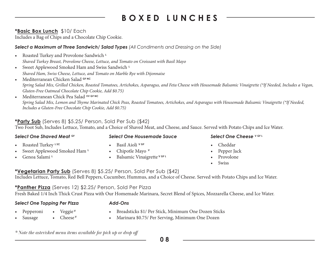# **BOXED LUNCHES**

# **\*Basic Box Lunch** \$10/ Each

Includes a Bag of Chips and a Chocolate Chip Cookie.

# *Select a Maximum of Three Sandwich/ Salad Types (All Condiments and Dressing on the Side)*

- Roasted Turkey and Provolone Sandwich<sup>1</sup> *Shaved Turkey Breast, Provolone Cheese, Lettuce, and Tomato on Croissant with Basil Mayo*
- Sweet Applewood Smoked Ham and Swiss Sandwich<sup>1</sup> *Shaved Ham, Swiss Cheese, Lettuce, and Tomato on Marble Rye with Dijonnaise*
- Mediterranean Chicken Salad **GF NC** *Spring Salad Mix, Grilled Chicken, Roasted Tomatoes, Artichokes, Asparagus, and Feta Cheese with Housemade Balsamic Vinaigrette (\*If Needed, Includes a Vegan, Gluten-Free Oatmeal Chocolate Chip Cookie, Add \$0.75)*
- Mediterranean Chick Pea Salad **VV GF NC** *Spring Salad Mix, Lemon and Thyme Marinated Chick Peas, Roasted Tomatoes, Artichokes, and Asparagus with Housemade Balsamic Vinaigrette (\*If Needed, Includes a Gluten-Free Chocolate Chip Cookie, Add \$0.75)*

# **\*Party Sub** (Serves 8) \$5.25/ Person, Sold Per Sub (\$42)

Two Foot Sub, Includes Lettuce, Tomato, and a Choice of Shaved Meat, and Cheese, and Sauce. Served with Potato Chips and Ice Water.

### *Select One Shaved Meat* **GF** *Select One Housemade Sauce Select One Cheese* **V GF L** • Roasted Turkey **L SC** • Basil Aioli **V GF**

- Sweet Applewood Smoked Ham<sup>1</sup>
- Genoa Salami**<sup>L</sup>**
- Chipotle Mayo **<sup>V</sup>**
- Balsamic Vinaigrette **V GF L**

- Cheddar
- Pepper Jack
- Provolone
- Swiss

# **\*Vegetarian Party Sub** (Serves 8) \$5.25/ Person, Sold Per Sub (\$42)

Includes Lettuce, Tomato, Red Bell Peppers, Cucumber, Hummus, and a Choice of Cheese. Served with Potato Chips and Ice Water.

# **\*Panther Pizza** (Serves 12) \$2.25/ Person, Sold Per Pizza

Fresh Baked 1/4 Inch Thick Crust Pizza with Our Homemade Marinara, Secret Blend of Spices, Mozzarella Cheese, and Ice Water.

### *Select One Topping Per Pizza Add-Ons*

- Pepperoni
	- Veggie **<sup>V</sup>**

• Breadsticks \$1/ Per Stick, Minimum One Dozen Sticks

• Sausage • Cheese **<sup>V</sup>** • Marinara \$0.75/ Per Serving, Minimum One Dozen

*\* Note the asterisked menu items available for pick up or drop off*

**0 8**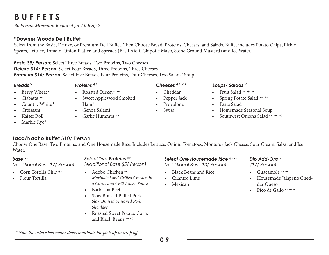# **BUFFETS**

*30 Person Minimum Required for All Buffets*

# **\*Downer Woods Deli Buffet**

Select from the Basic, Deluxe, or Premium Deli Buffet. Then Choose Bread, Proteins, Cheeses, and Salads. Buffet includes Potato Chips, Pickle Spears, Lettuce, Tomato, Onion Platter, and Spreads (Basil Aioli, Chipotle Mayo, Stone Ground Mustard) and Ice Water.

*Basic \$9/ Person:* Select Three Breads, Two Proteins, Two Cheeses *Deluxe \$14/ Person:* Select Four Breads, Three Proteins, Three Cheeses *Premium \$16/ Person:* Select Five Breads, Four Proteins, Four Cheeses, Two Salads/ Soup

### • Berry Wheat **<sup>L</sup>**

- Ciabatta **VV**
- Country White **<sup>L</sup>**
- Croissant
- Kaiser Roll **<sup>L</sup>**
- Marble Rye **<sup>L</sup>**
- - Roasted Turkey **L NC**
- Sweet Applewood Smoked Ham **<sup>L</sup>**
- Genoa Salami
- Garlic Hummus **VV L**
- *Breads V Proteins GF Cheeses GF V L Soups/ Salads V*
	- Cheddar
	- Pepper Jack
	- Provolone
	- **Swiss**

- Fruit Salad **VV GF NC**
- Spring Potato Salad **VV GF**
- Pasta Salad
- Homemade Seasonal Soup
- Southwest Quiona Salad VV GF NC

**Taco/Nacho Buffet** \$10/ Person

Choose One Base, Two Proteins, and One Housemade Rice. Includes Lettuce, Onion, Tomatoes, Monterey Jack Cheese, Sour Cream, Salsa, and Ice Water.

### *Base* **VV**

*(Additional Base \$2/ Person)*

- Corn Tortilla Chip **GF**
- Flour Tortilla

### **Select Two Proteins <b>GF**

*(Additional Base \$5/ Person)*

- Adobo Chicken **NC** *Marinated and Grilled Chicken in a Citrus and Chili Adobo Sauce*
- Barbacoa Beef
- Slow Braised Pulled Pork *Slow Braised Seasoned Pork Shoulder*
- Roasted Sweet Potato, Corn, and Black Beans **VV NC**

# *Select One Housemade Rice* **GF VV** *(Additional Base \$3/ Person)*

- Black Beans and Rice
- Cilantro Lime
- **Mexican**

### *Dip Add-Ons* **<sup>V</sup>** *(\$2/ Person)*

- Guacamole **VV GF**
- Housemade Jalapeño Cheddar Queso **<sup>L</sup>**
- Pico de Gallo **VV GF NC**

*\* Note the asterisked menu items available for pick up or drop off*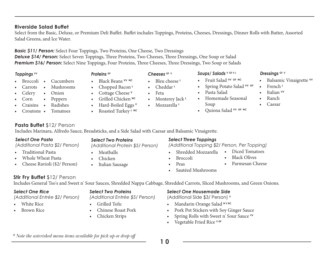### **Riverside Salad Buffet**

Select from the Basic, Deluxe, or Premium Deli Buffet. Buffet includes Toppings, Proteins, Cheeses, Dressings, Dinner Rolls with Butter, Assorted Salad Greens, and Ice Water.

> • Bleu cheese **<sup>L</sup>** • Cheddar **<sup>L</sup>** • Feta

• Mozzarella **<sup>L</sup>**

• Monterey Jack **<sup>L</sup>**

# *Basic \$11/ Person:* Select Four Toppings, Two Proteins, One Cheese, Two Dressings

*Deluxe \$14/ Person:* Select Seven Toppings, Three Proteins, Two Cheeses, Three Dressings, One Soup or Salad *Premium \$16/ Person:* Select Nine Toppings, Four Proteins, Three Cheeses, Three Dressings, Two Soup or Salads

- Broccoli Cucumbers
- Carrots • Mushrooms
- Celery • Onion

*Select One Pasta*

• Traditional Pasta • Whole Wheat Pasta • Cheese Ravioli (\$2/ Person)

- Corn • Peppers
- Craisins • Radishes
- Croutons • Tomatoes

**Pasta Buffet** \$12/ Person

*(Additional Pasta \$2/ Person)*

*Select Two Proteins*

• Black Beans **VV NC** • Chopped Bacon **<sup>L</sup>** • Cottage Cheese **<sup>V</sup>** • Grilled Chicken **NC** • Hard-Boiled Eggs **<sup>V</sup>** • Roasted Turkey **L NC**

*(Additional Protein \$5/ Person)*

- Meatballs
- Chicken
- 

- 
- 

# • Italian Sausage

### *Select Three Toppings*

*(Additional Topping \$2/ Person, Per Topping)*

• Pasta Salad

Soup

• Homemade Seasonal

- Shredded Mozzarella
- Broccoli
- Peas
- Sautéed Mushrooms

# **Stir Fry Buffet** \$12/ Person

Includes General Tso's and Sweet n' Sour Sauces, Shredded Nappa Cabbage, Shredded Carrots, Sliced Mushrooms, and Green Onions.

### *Select One Rice*

### *(Additional Entrée \$2/ Person)*

- White Rice
- Brown Rice
- *Select Two Proteins (Additional Entrée \$5/ Person)*
- Grilled Tofu
- Chinese Roast Pork
- Chicken Strips

### *Select One Housemade Side*

(Additional Side \$3/ Person) **<sup>V</sup>**

- Mandarin Orange Salad **N V NC**
- Pork Pot Stickers with Soy Ginger Sauce
- Spring Rolls with Sweet n' Sour Sauce **VV**
- Vegetable Fried Rice **V GF**

*Toppings* **VV** *Proteins* **GF** *Cheeses* **GF V** *Dressings* **GF V** *Soups/ Salads* **<sup>V</sup> GF V L** • Fruit Salad **VV GF NC**

- Balsamic Vinaigrette **VV**
- French **<sup>L</sup>**
- Italian **VV**
- Ranch
- Caesar

- Diced Tomatoes • Black Olives
- 
- Parmesan Cheese
- 

**1 0**

# • Quiona Salad **VV GF NC**

• Spring Potato Salad **VV GF**





Includes Marinara, Alfredo Sauce, Breadsticks, and a Side Salad with Caesar and Balsamic Vinaigrette.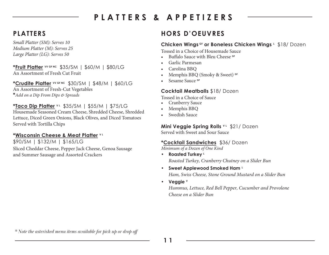# **PLATTERS & APPETIZERS**

*Small Platter (SM): Serves 10 Medium Platter (M): Serves 25 Large Platter (LG): Serves 50*

**\*Fruit Platter VV GF NC** \$35/SM | \$60/M | \$80/LG An Assortment of Fresh Cut Fruit

**\*Crudite Platter VV GF NC** \$30/SM | \$48/M | \$60/LG An Assortment of Fresh-Cut Vegetables **\****Add on a Dip From Dips & Spreads*

# **\*Taco Dip Platter V L** \$35/SM | \$55/M | \$75/LG

Housemade Seasoned Cream Cheese, Shredded Cheese, Shredded Lettuce, Diced Green Onions, Black Olives, and Diced Tomatoes Served with Tortilla Chips

### **\*Wisconsin Cheese & Meat Platter V L**

\$90/SM | \$132/M | \$165/LG Sliced Cheddar Cheese, Pepper Jack Cheese, Genoa Sausage and Summer Sausage and Assorted Crackers

# **PLATTERS HORS D'OEUVRES**

### **Chicken Wings GF or Boneless Chicken Wings L** \$18/ Dozen

Tossed in a Choice of Housemade Sauce

- Buffalo Sauce with Bleu Cheese **GF**
- Garlic Parmesan
- Carolina BBQ
- Memphis BBQ (Smoky & Sweet) **GF**
- Sesame Sauce **GF**

# **Cocktail Meatballs** \$18/ Dozen

Tossed in a Choice of Sauce

- Cranberry Sauce
- Memphis BBQ
- Swedish Sauce

# **Mini Veggie Spring Rolls** VL \$21/ Dozen

Served with Sweet and Sour Sauce

# **\*Cocktail Sandwiches** \$36/ Dozen

*Minimum of a Dozen of One Kind*

- **Roasted Turkey <sup>L</sup>** *Roasted Turkey, Cranberry Chutney on a Slider Bun*
- **Sweet Applewood Smoked Ham <sup>L</sup>**

*Ham, Swiss Cheese, Stone Ground Mustard on a Slider Bun*

**• Veggie <sup>V</sup>**

*Hummus, Lettuce, Red Bell Pepper, Cucumber and Provolone Cheese on a Slider Bun*

*\* Note the asterisked menu items available for pick up or drop off*

**1 1**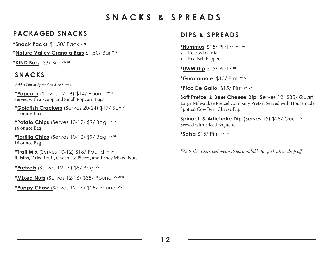# **SNACKS & SPREADS**

# **PACKAGED SNACKS DIPS & SPREADS**

**\*Snack Packs** \$1.50/ Pack **V N**

**\*Nature Valley Granola Bars** \$1.50/ Bar **V N**

**\*KIND Bars** \$3/ Bar **V N GF**

# **SNACKS**

*Add a Dip or Spread to Any Snack*

**\*Popcorn** (Serves 12-16) \$14/ Pound **VV GF** Served with a Scoop and Small Popcorn Bags

**\*Goldfish Crackers** (Serves 20-24) \$17/ Box **<sup>V</sup>** 31 ounce Box

**\*Potato Chips** (Serves 10-12) \$9/ Bag **VV GF** 16 ounce Bag

**\*Tortilla Chips** (Serves 10-12) \$9/ Bag **VV GF** 16 ounce Bag

**\*Trail Mix** (Serves 10-12) \$18/ Pound **VV GF** Raisins, Dried Fruit, Chocolate Pieces, and Fancy Mixed Nuts

**\*Pretzels** (Serves 12-16) \$8/ Bag **VV** 

**\*Mixed Nuts** (Serves 12-16) \$35/ Pound WGFN

**\*Puppy Chow** (Serves 12-16) \$25/ Pound **V N** 

**\*Hummus** \$15/ Pint **VV GF L NC**

- Roasted Garlic
- Red Bell Pepper

**\*UWM Dip** \$15/ Pint **V GF**

**\*Guacamole** \$15/ Pint **VV GF**

**\*Pico De Gallo** \$15/ Pint **VV GF**

**Soft Pretzel & Beer Cheese Dip** (Serves 12) \$35/ Quart Large Milwaukee Pretzel Company Pretzel Served with Housemade Spotted Cow Beer Cheese Dip

**Spinach & Artichoke Dip** (Serves 15) \$28/ Quart **<sup>V</sup>** Served with Sliced Baguette

**\*Salsa** \$15/ Pint **VV GF**

*\*Note the asterisked menu items available for pick up or drop off*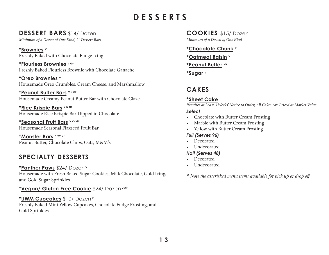# **DESSERTS**

# **DESSERT BARS** \$14/ Dozen

*Minimum of a Dozen of One Kind, 2" Dessert Bars Minimum of a Dozen of One Kind*

**\*Brownies <sup>V</sup>** Freshly Baked with Chocolate Fudge Icing

**\*Flourless Brownies V GF** Freshly Baked Flourless Brownie with Chocolate Ganache

**\*Oreo Brownies <sup>V</sup>** Housemade Oreo Crumbles, Cream Cheese, and Marshmallow

Housemade Creamy Peanut Butter Bar with Chocolate Glaze **\*Peanut Butter Bars V N GF**

**\*Rice Krispie Bars V N GF** Housemade Rice Krispie Bar Dipped in Chocolate

**\*Seasonal Fruit Bars V VV GF** Housemade Seasonal Flaxseed Fruit Bar

**\*Monster Bars N VV GF** Peanut Butter, Chocolate Chips, Oats, M&M's

# **SPECIALTY DESSERTS**

**\*Panther Paws** \$24/ Dozen**<sup>V</sup>** Housemade with Fresh Baked Sugar Cookies, Milk Chocolate, Gold Icing, and Gold Sugar Sprinkles

# **\*Vegan/ Gluten Free Cookie** \$24/ Dozen **V GF**

# **\*UWM Cupcakes** \$10/ Dozen**<sup>V</sup>**

Freshly Baked Mini Yellow Cupcakes, Chocolate Fudge Frosting, and Gold Sprinkles

**COOKIES** \$15/ Dozen

**\*Chocolate Chunk <sup>V</sup>**

**\*Oatmeal Raisin <sup>V</sup>**

**\*Peanut Butter VN** 

**\*Sugar <sup>V</sup>**

# **CAKES**

# **\*Sheet Cake**

*Requires at Least 3 Weeks' Notice to Order, All Cakes Are Priced at Market Value*

### *Select*

- Chocolate with Butter Cream Frosting
- Marble with Butter Cream Frosting
- Yellow with Butter Cream Frosting

# *Full (Serves 96)*

- Decorated
- **Undecorated**

# *Half (Serves 48)*

- Decorated
- Undecorated

*\* Note the asterisked menu items available for pick up or drop off*